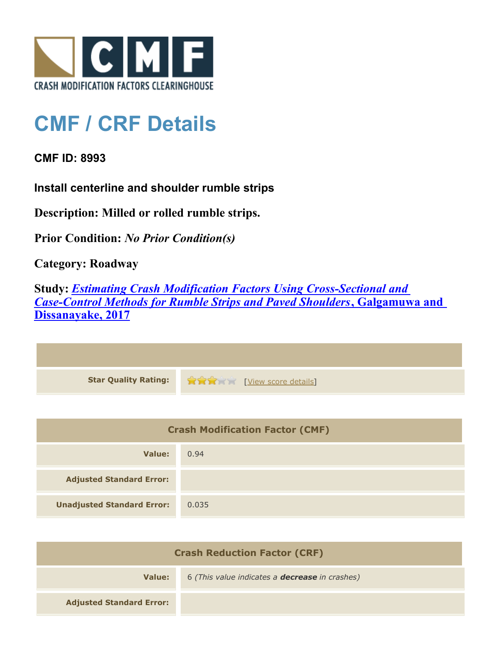

## **CMF / CRF Details**

**CMF ID: 8993**

**Install centerline and shoulder rumble strips**

**Description: Milled or rolled rumble strips.**

**Prior Condition:** *No Prior Condition(s)*

**Category: Roadway**

**Study:** *[Estimating Crash Modification Factors Using Cross-Sectional and](http://www.cmfclearinghouse.org/study_detail.cfm?stid=480) [Case-Control Methods for Rumble Strips and Paved Shoulders](http://www.cmfclearinghouse.org/study_detail.cfm?stid=480)***[, Galgamuwa and](http://www.cmfclearinghouse.org/study_detail.cfm?stid=480) [Dissanayake, 2017](http://www.cmfclearinghouse.org/study_detail.cfm?stid=480)**

| Star Quality Rating: 1999 [View score details] |
|------------------------------------------------|

| <b>Crash Modification Factor (CMF)</b> |       |
|----------------------------------------|-------|
| Value:                                 | 0.94  |
| <b>Adjusted Standard Error:</b>        |       |
| <b>Unadjusted Standard Error:</b>      | 0.035 |

| <b>Crash Reduction Factor (CRF)</b> |                                                       |
|-------------------------------------|-------------------------------------------------------|
| Value:                              | 6 (This value indicates a <b>decrease</b> in crashes) |
| <b>Adjusted Standard Error:</b>     |                                                       |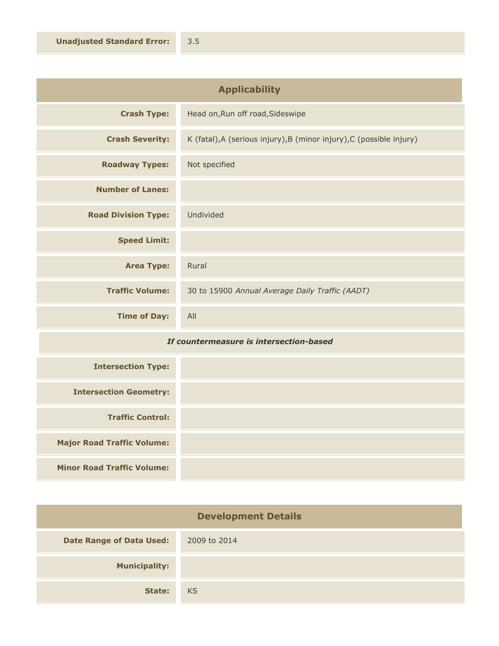| <b>Applicability</b>       |                                                                      |
|----------------------------|----------------------------------------------------------------------|
| <b>Crash Type:</b>         | Head on, Run off road, Sideswipe                                     |
| <b>Crash Severity:</b>     | K (fatal), A (serious injury), B (minor injury), C (possible injury) |
| <b>Roadway Types:</b>      | Not specified                                                        |
| <b>Number of Lanes:</b>    |                                                                      |
| <b>Road Division Type:</b> | Undivided                                                            |
| <b>Speed Limit:</b>        |                                                                      |
| <b>Area Type:</b>          | Rural                                                                |
| <b>Traffic Volume:</b>     | 30 to 15900 Annual Average Daily Traffic (AADT)                      |
| <b>Time of Day:</b>        | All                                                                  |

## *If countermeasure is intersection-based*

| <b>Intersection Type:</b>         |  |
|-----------------------------------|--|
| <b>Intersection Geometry:</b>     |  |
| <b>Traffic Control:</b>           |  |
| <b>Major Road Traffic Volume:</b> |  |
| <b>Minor Road Traffic Volume:</b> |  |

| <b>Development Details</b>      |              |
|---------------------------------|--------------|
| <b>Date Range of Data Used:</b> | 2009 to 2014 |
| <b>Municipality:</b>            |              |
| State:                          | <b>KS</b>    |